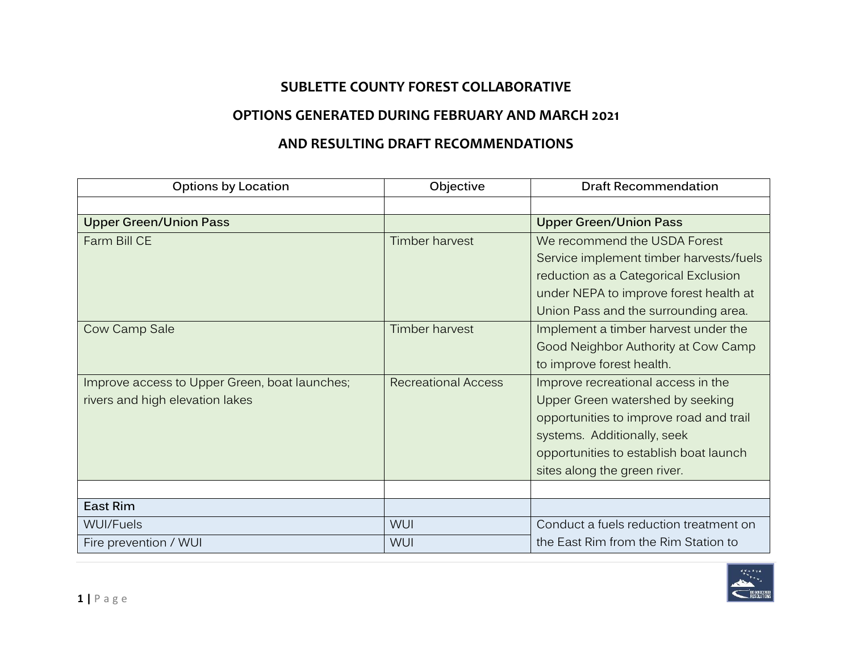## **SUBLETTE COUNTY FOREST COLLABORATIVE**

## **OPTIONS GENERATED DURING FEBRUARY AND MARCH 2021**

## **AND RESULTING DRAFT RECOMMENDATIONS**

| <b>Options by Location</b>                    | Objective                  | <b>Draft Recommendation</b>             |
|-----------------------------------------------|----------------------------|-----------------------------------------|
|                                               |                            |                                         |
| <b>Upper Green/Union Pass</b>                 |                            | <b>Upper Green/Union Pass</b>           |
| Farm Bill CE                                  | <b>Timber harvest</b>      | We recommend the USDA Forest            |
|                                               |                            | Service implement timber harvests/fuels |
|                                               |                            | reduction as a Categorical Exclusion    |
|                                               |                            | under NEPA to improve forest health at  |
|                                               |                            | Union Pass and the surrounding area.    |
| Cow Camp Sale                                 | <b>Timber harvest</b>      | Implement a timber harvest under the    |
|                                               |                            | Good Neighbor Authority at Cow Camp     |
|                                               |                            | to improve forest health.               |
| Improve access to Upper Green, boat launches; | <b>Recreational Access</b> | Improve recreational access in the      |
| rivers and high elevation lakes               |                            | Upper Green watershed by seeking        |
|                                               |                            | opportunities to improve road and trail |
|                                               |                            | systems. Additionally, seek             |
|                                               |                            | opportunities to establish boat launch  |
|                                               |                            | sites along the green river.            |
|                                               |                            |                                         |
| <b>East Rim</b>                               |                            |                                         |
| <b>WUI/Fuels</b>                              | WUI                        | Conduct a fuels reduction treatment on  |
| Fire prevention / WUI                         | <b>WUI</b>                 | the East Rim from the Rim Station to    |

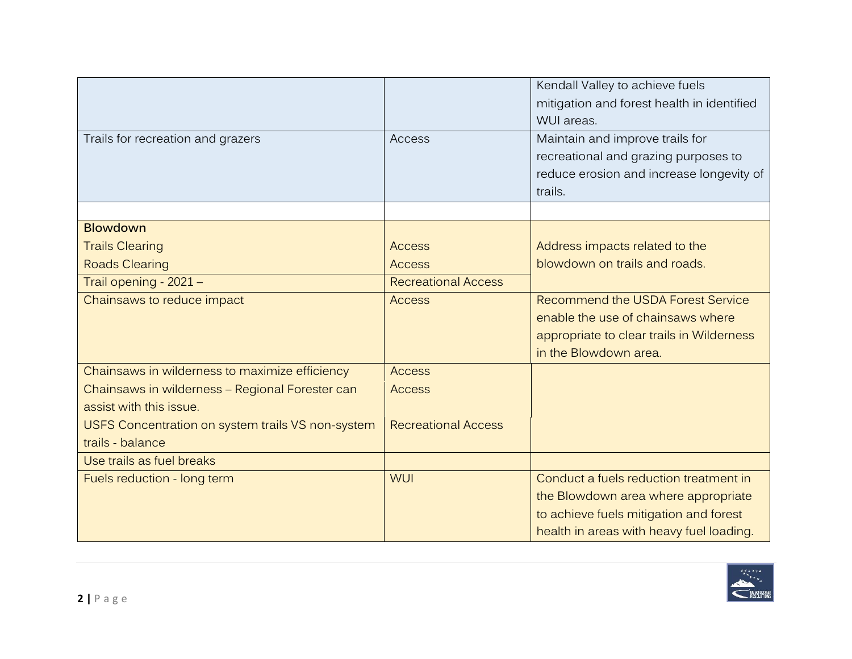|                                                   |                            | Kendall Valley to achieve fuels<br>mitigation and forest health in identified |
|---------------------------------------------------|----------------------------|-------------------------------------------------------------------------------|
|                                                   |                            | WUI areas.                                                                    |
| Trails for recreation and grazers                 | Access                     | Maintain and improve trails for                                               |
|                                                   |                            | recreational and grazing purposes to                                          |
|                                                   |                            | reduce erosion and increase longevity of                                      |
|                                                   |                            | trails.                                                                       |
|                                                   |                            |                                                                               |
| <b>Blowdown</b>                                   |                            |                                                                               |
| <b>Trails Clearing</b>                            | <b>Access</b>              | Address impacts related to the                                                |
| <b>Roads Clearing</b>                             | <b>Access</b>              | blowdown on trails and roads.                                                 |
| Trail opening - 2021 -                            | <b>Recreational Access</b> |                                                                               |
| Chainsaws to reduce impact                        | <b>Access</b>              | Recommend the USDA Forest Service                                             |
|                                                   |                            | enable the use of chainsaws where                                             |
|                                                   |                            | appropriate to clear trails in Wilderness                                     |
|                                                   |                            | in the Blowdown area.                                                         |
| Chainsaws in wilderness to maximize efficiency    | <b>Access</b>              |                                                                               |
| Chainsaws in wilderness - Regional Forester can   | <b>Access</b>              |                                                                               |
| assist with this issue.                           |                            |                                                                               |
| USFS Concentration on system trails VS non-system | <b>Recreational Access</b> |                                                                               |
| trails - balance                                  |                            |                                                                               |
| Use trails as fuel breaks                         |                            |                                                                               |
| Fuels reduction - long term                       | <b>WUI</b>                 | Conduct a fuels reduction treatment in                                        |
|                                                   |                            | the Blowdown area where appropriate                                           |
|                                                   |                            | to achieve fuels mitigation and forest                                        |
|                                                   |                            | health in areas with heavy fuel loading.                                      |

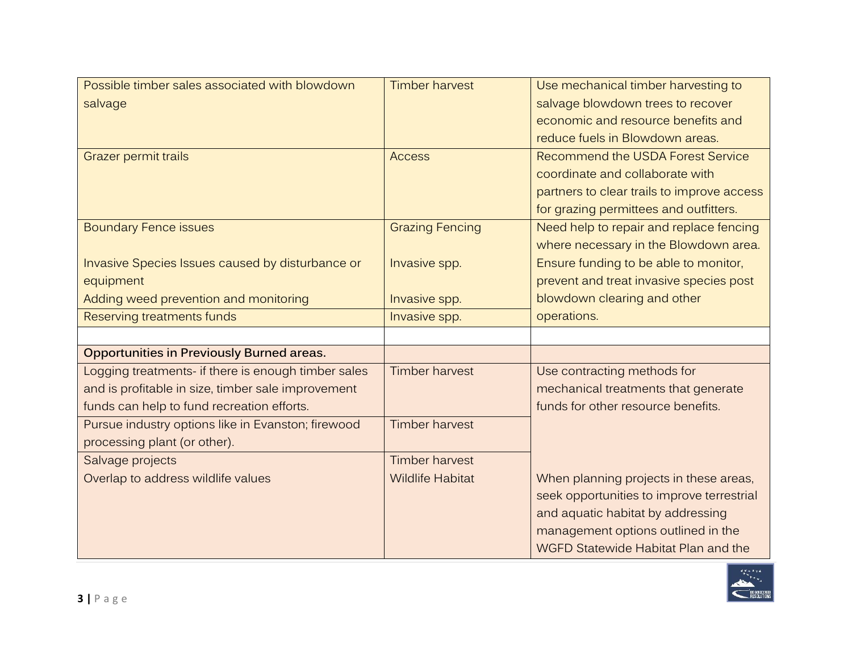| Possible timber sales associated with blowdown      | <b>Timber harvest</b>   | Use mechanical timber harvesting to        |
|-----------------------------------------------------|-------------------------|--------------------------------------------|
| salvage                                             |                         | salvage blowdown trees to recover          |
|                                                     |                         | economic and resource benefits and         |
|                                                     |                         | reduce fuels in Blowdown areas.            |
| Grazer permit trails                                | <b>Access</b>           | <b>Recommend the USDA Forest Service</b>   |
|                                                     |                         | coordinate and collaborate with            |
|                                                     |                         | partners to clear trails to improve access |
|                                                     |                         | for grazing permittees and outfitters.     |
| <b>Boundary Fence issues</b>                        | <b>Grazing Fencing</b>  | Need help to repair and replace fencing    |
|                                                     |                         | where necessary in the Blowdown area.      |
| Invasive Species Issues caused by disturbance or    | Invasive spp.           | Ensure funding to be able to monitor,      |
| equipment                                           |                         | prevent and treat invasive species post    |
| Adding weed prevention and monitoring               | Invasive spp.           | blowdown clearing and other                |
| Reserving treatments funds                          | Invasive spp.           | operations.                                |
|                                                     |                         |                                            |
| <b>Opportunities in Previously Burned areas.</b>    |                         |                                            |
| Logging treatments- if there is enough timber sales | <b>Timber harvest</b>   | Use contracting methods for                |
| and is profitable in size, timber sale improvement  |                         | mechanical treatments that generate        |
| funds can help to fund recreation efforts.          |                         | funds for other resource benefits.         |
| Pursue industry options like in Evanston; firewood  | <b>Timber harvest</b>   |                                            |
| processing plant (or other).                        |                         |                                            |
| Salvage projects                                    | <b>Timber harvest</b>   |                                            |
| Overlap to address wildlife values                  | <b>Wildlife Habitat</b> | When planning projects in these areas,     |
|                                                     |                         | seek opportunities to improve terrestrial  |
|                                                     |                         | and aquatic habitat by addressing          |
|                                                     |                         |                                            |
|                                                     |                         | management options outlined in the         |

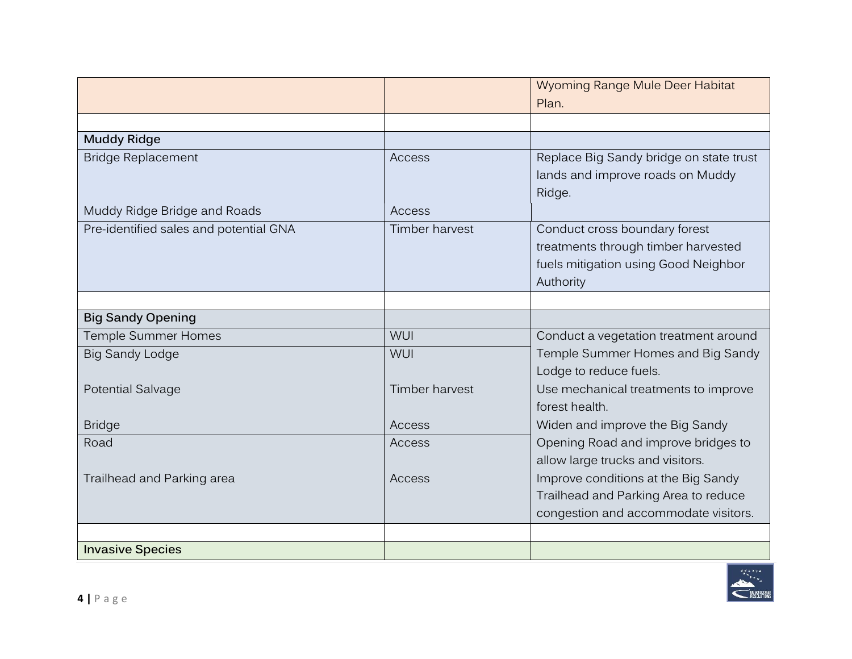|                                        |                | Wyoming Range Mule Deer Habitat         |
|----------------------------------------|----------------|-----------------------------------------|
|                                        |                | Plan.                                   |
|                                        |                |                                         |
| <b>Muddy Ridge</b>                     |                |                                         |
| <b>Bridge Replacement</b>              | Access         | Replace Big Sandy bridge on state trust |
|                                        |                | lands and improve roads on Muddy        |
|                                        |                | Ridge.                                  |
| Muddy Ridge Bridge and Roads           | Access         |                                         |
| Pre-identified sales and potential GNA | Timber harvest | Conduct cross boundary forest           |
|                                        |                | treatments through timber harvested     |
|                                        |                | fuels mitigation using Good Neighbor    |
|                                        |                | Authority                               |
|                                        |                |                                         |
| <b>Big Sandy Opening</b>               |                |                                         |
| Temple Summer Homes                    | <b>WUI</b>     | Conduct a vegetation treatment around   |
| <b>Big Sandy Lodge</b>                 | WUI            | Temple Summer Homes and Big Sandy       |
|                                        |                | Lodge to reduce fuels.                  |
| Potential Salvage                      | Timber harvest | Use mechanical treatments to improve    |
|                                        |                | forest health.                          |
| <b>Bridge</b>                          | Access         | Widen and improve the Big Sandy         |
| Road                                   | Access         | Opening Road and improve bridges to     |
|                                        |                | allow large trucks and visitors.        |
| Trailhead and Parking area             | Access         | Improve conditions at the Big Sandy     |
|                                        |                | Trailhead and Parking Area to reduce    |
|                                        |                | congestion and accommodate visitors.    |
|                                        |                |                                         |
| <b>Invasive Species</b>                |                |                                         |

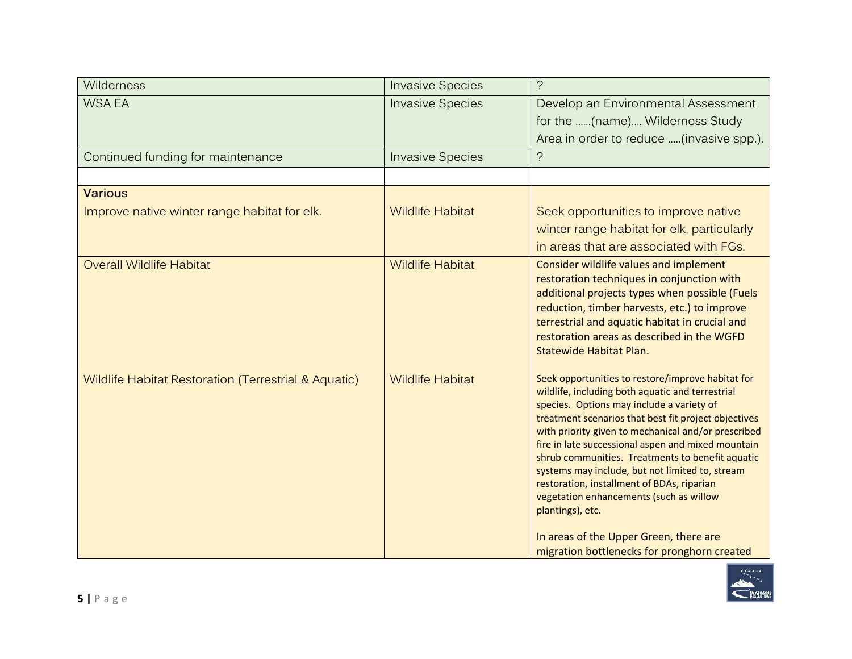| Wilderness                                           | <b>Invasive Species</b> | $\overline{?}$                                                                                                                                                                                                                                                                                                                                                                                                                                                                                                                                                                                                                       |
|------------------------------------------------------|-------------------------|--------------------------------------------------------------------------------------------------------------------------------------------------------------------------------------------------------------------------------------------------------------------------------------------------------------------------------------------------------------------------------------------------------------------------------------------------------------------------------------------------------------------------------------------------------------------------------------------------------------------------------------|
| <b>WSA EA</b>                                        | <b>Invasive Species</b> | Develop an Environmental Assessment<br>for the (name) Wilderness Study<br>Area in order to reduce (invasive spp.).                                                                                                                                                                                                                                                                                                                                                                                                                                                                                                                   |
| Continued funding for maintenance                    | <b>Invasive Species</b> | $\tilde{?}$                                                                                                                                                                                                                                                                                                                                                                                                                                                                                                                                                                                                                          |
|                                                      |                         |                                                                                                                                                                                                                                                                                                                                                                                                                                                                                                                                                                                                                                      |
| <b>Various</b>                                       |                         |                                                                                                                                                                                                                                                                                                                                                                                                                                                                                                                                                                                                                                      |
| Improve native winter range habitat for elk.         | <b>Wildlife Habitat</b> | Seek opportunities to improve native<br>winter range habitat for elk, particularly<br>in areas that are associated with FGs.                                                                                                                                                                                                                                                                                                                                                                                                                                                                                                         |
| <b>Overall Wildlife Habitat</b>                      | <b>Wildlife Habitat</b> | Consider wildlife values and implement<br>restoration techniques in conjunction with<br>additional projects types when possible (Fuels<br>reduction, timber harvests, etc.) to improve<br>terrestrial and aquatic habitat in crucial and<br>restoration areas as described in the WGFD<br>Statewide Habitat Plan.                                                                                                                                                                                                                                                                                                                    |
| Wildlife Habitat Restoration (Terrestrial & Aquatic) | <b>Wildlife Habitat</b> | Seek opportunities to restore/improve habitat for<br>wildlife, including both aquatic and terrestrial<br>species. Options may include a variety of<br>treatment scenarios that best fit project objectives<br>with priority given to mechanical and/or prescribed<br>fire in late successional aspen and mixed mountain<br>shrub communities. Treatments to benefit aquatic<br>systems may include, but not limited to, stream<br>restoration, installment of BDAs, riparian<br>vegetation enhancements (such as willow<br>plantings), etc.<br>In areas of the Upper Green, there are<br>migration bottlenecks for pronghorn created |

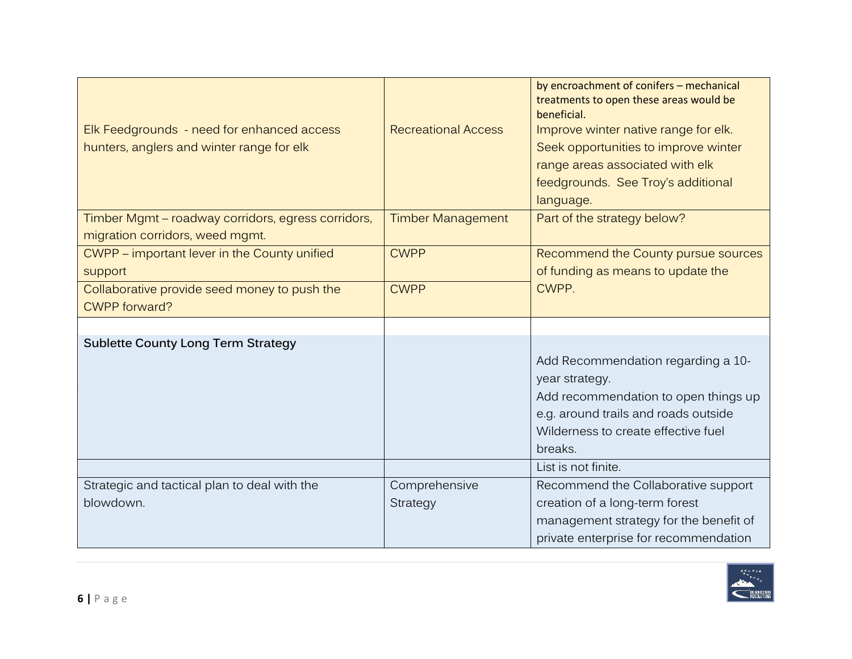|                                                    |                            | by encroachment of conifers - mechanical<br>treatments to open these areas would be |
|----------------------------------------------------|----------------------------|-------------------------------------------------------------------------------------|
|                                                    |                            | beneficial.                                                                         |
| Elk Feedgrounds - need for enhanced access         | <b>Recreational Access</b> | Improve winter native range for elk.                                                |
| hunters, anglers and winter range for elk          |                            | Seek opportunities to improve winter                                                |
|                                                    |                            | range areas associated with elk                                                     |
|                                                    |                            | feedgrounds. See Troy's additional                                                  |
|                                                    |                            | language.                                                                           |
| Timber Mgmt - roadway corridors, egress corridors, | <b>Timber Management</b>   | Part of the strategy below?                                                         |
| migration corridors, weed mgmt.                    |                            |                                                                                     |
| CWPP - important lever in the County unified       | <b>CWPP</b>                | Recommend the County pursue sources                                                 |
| support                                            |                            | of funding as means to update the                                                   |
| Collaborative provide seed money to push the       | <b>CWPP</b>                | CWPP.                                                                               |
| <b>CWPP</b> forward?                               |                            |                                                                                     |
|                                                    |                            |                                                                                     |
| <b>Sublette County Long Term Strategy</b>          |                            |                                                                                     |
|                                                    |                            | Add Recommendation regarding a 10-                                                  |
|                                                    |                            | year strategy.                                                                      |
|                                                    |                            | Add recommendation to open things up                                                |
|                                                    |                            | e.g. around trails and roads outside                                                |
|                                                    |                            | Wilderness to create effective fuel                                                 |
|                                                    |                            | breaks.                                                                             |
|                                                    |                            |                                                                                     |
|                                                    |                            | List is not finite.                                                                 |
| Strategic and tactical plan to deal with the       | Comprehensive              | Recommend the Collaborative support                                                 |
| blowdown.                                          | Strategy                   | creation of a long-term forest                                                      |
|                                                    |                            | management strategy for the benefit of                                              |